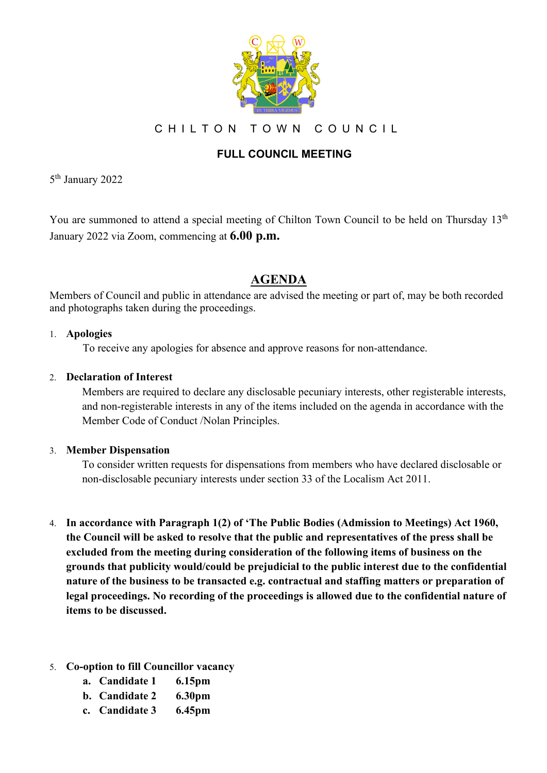

CHILTON TOWN COUNCIL

### **FULL COUNCIL MEETING**

5th January 2022

You are summoned to attend a special meeting of Chilton Town Council to be held on Thursday 13<sup>th</sup> January 2022 via Zoom, commencing at **6.00 p.m.**

## **AGENDA**

Members of Council and public in attendance are advised the meeting or part of, may be both recorded and photographs taken during the proceedings.

#### 1. **Apologies**

To receive any apologies for absence and approve reasons for non-attendance.

#### 2. **Declaration of Interest**

Members are required to declare any disclosable pecuniary interests, other registerable interests, and non-registerable interests in any of the items included on the agenda in accordance with the Member Code of Conduct /Nolan Principles.

#### 3. **Member Dispensation**

To consider written requests for dispensations from members who have declared disclosable or non-disclosable pecuniary interests under section 33 of the Localism Act 2011.

- 4. **In accordance with Paragraph 1(2) of 'The Public Bodies (Admission to Meetings) Act 1960, the Council will be asked to resolve that the public and representatives of the press shall be excluded from the meeting during consideration of the following items of business on the grounds that publicity would/could be prejudicial to the public interest due to the confidential nature of the business to be transacted e.g. contractual and staffing matters or preparation of legal proceedings. No recording of the proceedings is allowed due to the confidential nature of items to be discussed.**
- 5. **Co-option to fill Councillor vacancy**
	- **a. Candidate 1 6.15pm**
	- **b. Candidate 2 6.30pm**
	- **c. Candidate 3 6.45pm**